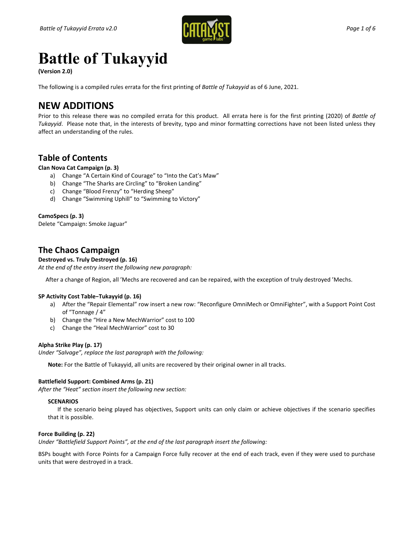

# **Battle of Tukayyid**

**(Version 2.0)** 

The following is a compiled rules errata for the first printing of *Battle of Tukayyid* as of 6 June, 2021.

## **NEW ADDITIONS**

Prior to this release there was no compiled errata for this product. All errata here is for the first printing (2020) of *Battle of Tukayyid*. Please note that, in the interests of brevity, typo and minor formatting corrections have not been listed unless they affect an understanding of the rules.

### **Table of Contents**

### **Clan Nova Cat Campaign (p. 3)**

- a) Change "A Certain Kind of Courage" to "Into the Cat's Maw"
- b) Change "The Sharks are Circling" to "Broken Landing"
- c) Change "Blood Frenzy" to "Herding Sheep"
- d) Change "Swimming Uphill" to "Swimming to Victory"

### **CamoSpecs (p. 3)**

Delete "Campaign: Smoke Jaguar"

### **The Chaos Campaign**

### **Destroyed vs. Truly Destroyed (p. 16)**

*At the end of the entry insert the following new paragraph:*

After a change of Region, all 'Mechs are recovered and can be repaired, with the exception of truly destroyed 'Mechs.

### **SP Activity Cost Table−Tukayyid (p. 16)**

- a) After the "Repair Elemental" row insert a new row: "Reconfigure OmniMech or OmniFighter", with a Support Point Cost of "Tonnage / 4"
- b) Change the "Hire a New MechWarrior" cost to 100
- c) Change the "Heal MechWarrior" cost to 30

### **Alpha Strike Play (p. 17)**

*Under "Salvage", replace the last paragraph with the following:*

**Note:** For the Battle of Tukayyid, all units are recovered by their original owner in all tracks.

### **Battlefield Support: Combined Arms (p. 21)**

*After the "Heat" section insert the following new section:*

### **SCENARIOS**

If the scenario being played has objectives, Support units can only claim or achieve objectives if the scenario specifies that it is possible.

### **Force Building (p. 22)**

*Under "Battlefield Support Points", at the end of the last paragraph insert the following:*

BSPs bought with Force Points for a Campaign Force fully recover at the end of each track, even if they were used to purchase units that were destroyed in a track.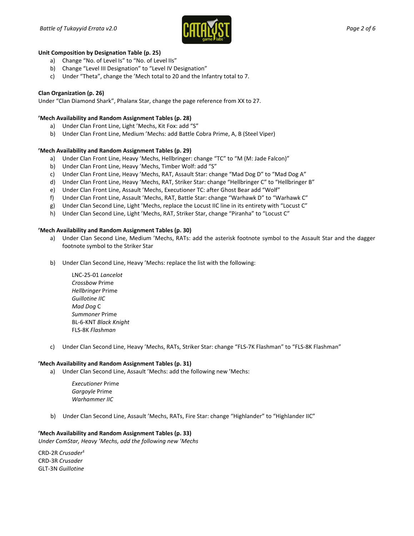

#### **Unit Composition by Designation Table (p. 25)**

- a) Change "No. of Level Is" to "No. of Level IIs"
- b) Change "Level III Designation" to "Level IV Designation"
- c) Under "Theta", change the 'Mech total to 20 and the Infantry total to 7.

### **Clan Organization (p. 26)**

Under "Clan Diamond Shark", Phalanx Star, change the page reference from XX to 27.

#### **'Mech Availability and Random Assignment Tables (p. 28)**

- a) Under Clan Front Line, Light 'Mechs, Kit Fox: add "S"
- b) Under Clan Front Line, Medium 'Mechs: add Battle Cobra Prime, A, B (Steel Viper)

### **'Mech Availability and Random Assignment Tables (p. 29)**

- a) Under Clan Front Line, Heavy 'Mechs, Hellbringer: change "TC" to "M (M: Jade Falcon)"
- b) Under Clan Front Line, Heavy 'Mechs, Timber Wolf: add "S"
- c) Under Clan Front Line, Heavy 'Mechs, RAT, Assault Star: change "Mad Dog D" to "Mad Dog A"
- d) Under Clan Front Line, Heavy 'Mechs, RAT, Striker Star: change "Hellbringer C" to "Hellbringer B"
- e) Under Clan Front Line, Assault 'Mechs, Executioner TC: after Ghost Bear add "Wolf"
- f) Under Clan Front Line, Assault 'Mechs, RAT, Battle Star: change "Warhawk D" to "Warhawk C"
- g) Under Clan Second Line, Light 'Mechs, replace the Locust IIC line in its entirety with "Locust C"
- h) Under Clan Second Line, Light 'Mechs, RAT, Striker Star, change "Piranha" to "Locust C"

#### **'Mech Availability and Random Assignment Tables (p. 30)**

- a) Under Clan Second Line, Medium 'Mechs, RATs: add the asterisk footnote symbol to the Assault Star and the dagger footnote symbol to the Striker Star
- b) Under Clan Second Line, Heavy 'Mechs: replace the list with the following:

LNC-25-01 *Lancelot Crossbow* Prime *Hellbringer* Prime *Guillotine IIC Mad Dog* C *Summoner* Prime BL-6-KNT *Black Knight* FLS-8K *Flashman*

c) Under Clan Second Line, Heavy 'Mechs, RATs, Striker Star: change "FLS-7K Flashman" to "FLS-8K Flashman"

#### **'Mech Availability and Random Assignment Tables (p. 31)**

a) Under Clan Second Line, Assault 'Mechs: add the following new 'Mechs:

*Executioner* Prime *Gargoyle* Prime *Warhammer IIC*

b) Under Clan Second Line, Assault 'Mechs, RATs, Fire Star: change "Highlander" to "Highlander IIC"

### **'Mech Availability and Random Assignment Tables (p. 33)**

*Under ComStar, Heavy 'Mechs, add the following new 'Mechs*

CRD-2R *Crusader*‡ CRD-3R *Crusader* GLT-3N *Guillotine*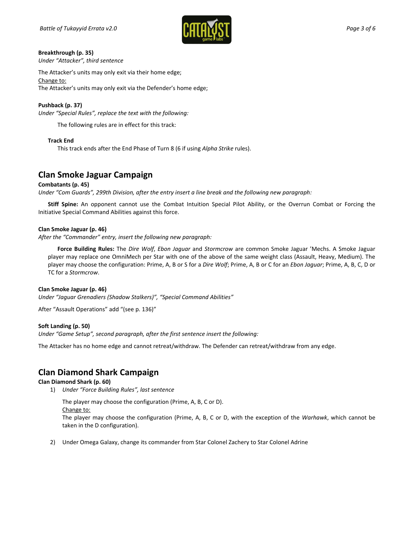

### **Breakthrough (p. 35)**

*Under "Attacker", third sentence*

The Attacker's units may only exit via their home edge; Change to: The Attacker's units may only exit via the Defender's home edge;

### **Pushback (p. 37)**

*Under "Special Rules", replace the text with the following:* 

The following rules are in effect for this track:

### **Track End**

This track ends after the End Phase of Turn 8 (6 if using *Alpha Strike* rules).

### **Clan Smoke Jaguar Campaign**

### **Combatants (p. 45)**

*Under "Com Guards", 299th Division, after the entry insert a line break and the following new paragraph:*

**Stiff Spine:** An opponent cannot use the Combat Intuition Special Pilot Ability, or the Overrun Combat or Forcing the Initiative Special Command Abilities against this force.

### **Clan Smoke Jaguar (p. 46)**

*After the "Commander" entry, insert the following new paragraph:*

**Force Building Rules:** The *Dire Wolf*, *Ebon Jaguar* and *Stormcrow* are common Smoke Jaguar 'Mechs. A Smoke Jaguar player may replace one OmniMech per Star with one of the above of the same weight class (Assault, Heavy, Medium). The player may choose the configuration: Prime, A, B or S for a *Dire Wolf*; Prime, A, B or C for an *Ebon Jaguar*; Prime, A, B, C, D or TC for a *Stormcrow*.

### **Clan Smoke Jaguar (p. 46)**

*Under "Jaguar Grenadiers (Shadow Stalkers)", "Special Command Abilities"*

After "Assault Operations" add "(see p. 136)"

### **Soft Landing (p. 50)**

*Under "Game Setup", second paragraph, after the first sentence insert the following:*

The Attacker has no home edge and cannot retreat/withdraw. The Defender can retreat/withdraw from any edge.

### **Clan Diamond Shark Campaign**

### **Clan Diamond Shark (p. 60)**

1) *Under "Force Building Rules", last sentence*

The player may choose the configuration (Prime, A, B, C or D). Change to: The player may choose the configuration (Prime, A, B, C or D, with the exception of the *Warhawk*, which cannot be taken in the D configuration).

2) Under Omega Galaxy, change its commander from Star Colonel Zachery to Star Colonel Adrine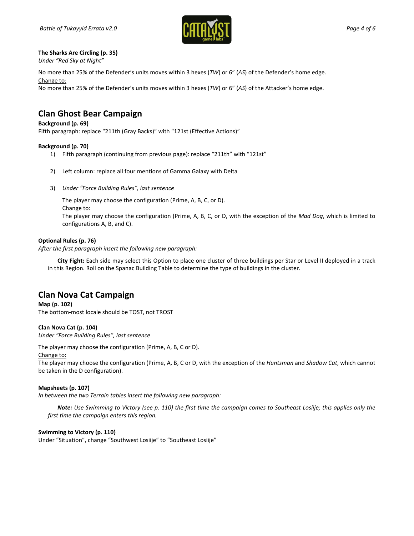

### **The Sharks Are Circling (p. 35)**

*Under "Red Sky at Night"* 

No more than 25% of the Defender's units moves within 3 hexes (*TW*) or 6" (*AS*) of the Defender's home edge. Change to:

No more than 25% of the Defender's units moves within 3 hexes (*TW*) or 6" (*AS*) of the Attacker's home edge.

### **Clan Ghost Bear Campaign**

### **Background (p. 69)**

Fifth paragraph: replace "211th (Gray Backs)" with "121st (Effective Actions)"

### **Background (p. 70)**

- 1) Fifth paragraph (continuing from previous page): replace "211th" with "121st"
- 2) Left column: replace all four mentions of Gamma Galaxy with Delta
- 3) *Under "Force Building Rules", last sentence*

The player may choose the configuration (Prime, A, B, C, or D).

Change to:

The player may choose the configuration (Prime, A, B, C, or D, with the exception of the *Mad Dog*, which is limited to configurations A, B, and C).

### **Optional Rules (p. 76)**

*After the first paragraph insert the following new paragraph:*

**City Fight:** Each side may select this Option to place one cluster of three buildings per Star or Level II deployed in a track in this Region. Roll on the Spanac Building Table to determine the type of buildings in the cluster.

### **Clan Nova Cat Campaign**

**Map (p. 102)**  The bottom-most locale should be TOST, not TROST

**Clan Nova Cat (p. 104)**  *Under "Force Building Rules", last sentence*

The player may choose the configuration (Prime, A, B, C or D).

### Change to:

The player may choose the configuration (Prime, A, B, C or D, with the exception of the *Huntsman* and *Shadow Cat*, which cannot be taken in the D configuration).

### **Mapsheets (p. 107)**

*In between the two Terrain tables insert the following new paragraph:*

*Note: Use Swimming to Victory (see p. 110) the first time the campaign comes to Southeast Losiije; this applies only the first time the campaign enters this region.*

### **Swimming to Victory (p. 110)**

Under "Situation", change "Southwest Losiije" to "Southeast Losiije"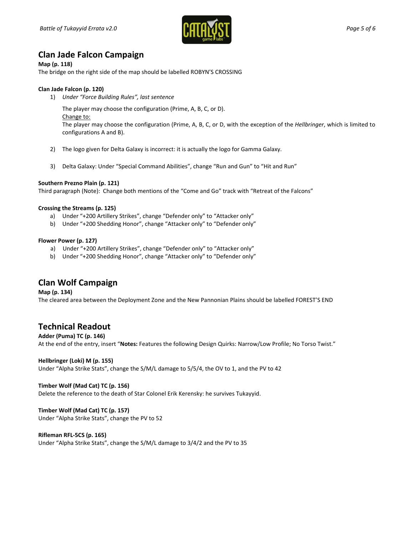

### **Clan Jade Falcon Campaign**

### **Map (p. 118)**

The bridge on the right side of the map should be labelled ROBYN'S CROSSING

### **Clan Jade Falcon (p. 120)**

1) *Under "Force Building Rules", last sentence*

The player may choose the configuration (Prime, A, B, C, or D).

Change to:

The player may choose the configuration (Prime, A, B, C, or D, with the exception of the *Hellbringer*, which is limited to configurations A and B).

- 2) The logo given for Delta Galaxy is incorrect: it is actually the logo for Gamma Galaxy.
- 3) Delta Galaxy: Under "Special Command Abilities", change "Run and Gun" to "Hit and Run"

### **Southern Prezno Plain (p. 121)**

Third paragraph (Note): Change both mentions of the "Come and Go" track with "Retreat of the Falcons"

### **Crossing the Streams (p. 125)**

- a) Under "+200 Artillery Strikes", change "Defender only" to "Attacker only"
- b) Under "+200 Shedding Honor", change "Attacker only" to "Defender only"

### **Flower Power (p. 127)**

- a) Under "+200 Artillery Strikes", change "Defender only" to "Attacker only"
- b) Under "+200 Shedding Honor", change "Attacker only" to "Defender only"

### **Clan Wolf Campaign**

**Map (p. 134)**  The cleared area between the Deployment Zone and the New Pannonian Plains should be labelled FOREST'S END

### **Technical Readout**

**Adder (Puma) TC (p. 146)**  At the end of the entry, insert "**Notes:** Features the following Design Quirks: Narrow/Low Profile; No Torso Twist."

### **Hellbringer (Loki) M (p. 155)**

Under "Alpha Strike Stats", change the S/M/L damage to 5/5/4, the OV to 1, and the PV to 42

### **Timber Wolf (Mad Cat) TC (p. 156)**

Delete the reference to the death of Star Colonel Erik Kerensky: he survives Tukayyid.

### **Timber Wolf (Mad Cat) TC (p. 157)**

Under "Alpha Strike Stats", change the PV to 52

### **Rifleman RFL-5CS (p. 165)**

Under "Alpha Strike Stats", change the S/M/L damage to 3/4/2 and the PV to 35